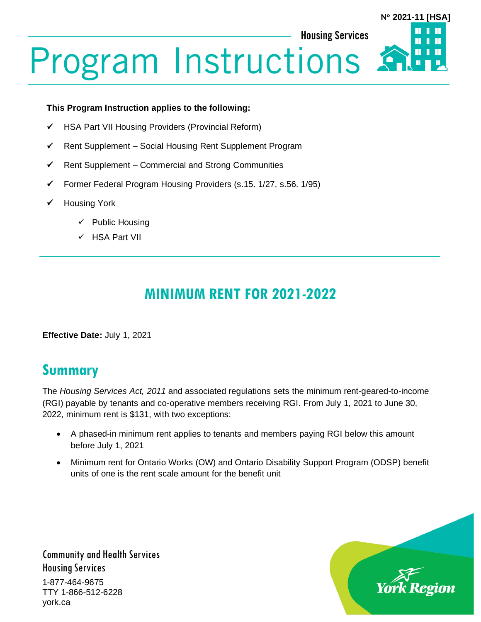#### **Housing Services**

## **N 2021-11 [HSA]**Ш П

# **Program Instructions**

#### **This Program Instruction applies to the following:**

- ✓ HSA Part VII Housing Providers (Provincial Reform)
- ✓ Rent Supplement Social Housing Rent Supplement Program
- ✓ Rent Supplement Commercial and Strong Communities
- ✓ Former Federal Program Housing Providers (s.15. 1/27, s.56. 1/95)
- ✓ Housing York
	- ✓ Public Housing
	- ✓ HSA Part VII

## **MINIMUM RENT FOR 2021-2022**

**Effective Date:** July 1, 2021

#### **Summary**

The *Housing Services Act, 2011* and associated regulations sets the minimum rent-geared-to-income (RGI) payable by tenants and co-operative members receiving RGI. From July 1, 2021 to June 30, 2022, minimum rent is \$131, with two exceptions:

- A phased-in minimum rent applies to tenants and members paying RGI below this amount before July 1, 2021
- Minimum rent for Ontario Works (OW) and Ontario Disability Support Program (ODSP) benefit units of one is the rent scale amount for the benefit unit



Community and Health Services Housing Services 1-877-464-9675 TTY 1-866-512-6228

york.ca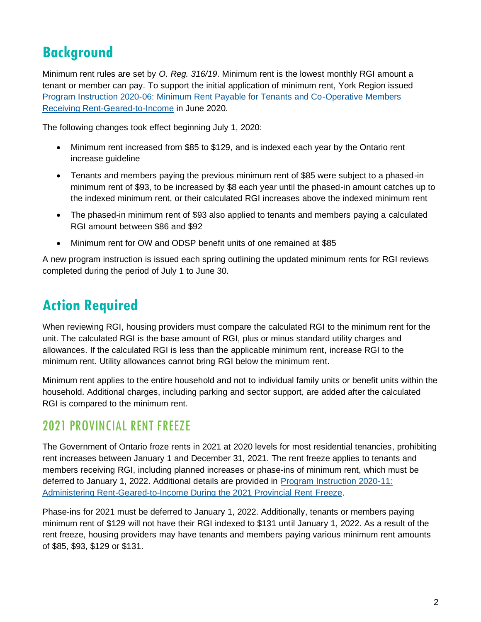### **Background**

Minimum rent rules are set by *O. Reg. 316/19*. Minimum rent is the lowest monthly RGI amount a tenant or member can pay. To support the initial application of minimum rent, York Region issued [Program Instruction 2020-06: Minimum Rent Payable for Tenants and Co-Operative Members](https://www.york.ca/wps/wcm/connect/yorkpublic/fb3ed3d3-e66a-4624-9bf9-76aee2864c98/PI-2020-06-Minimum-Rent-Payable-for-Tenants-and-Members-Receiving-Rent-Geared-to-Income.pdf?MOD=AJPERES&CVID=nakqM1-)  [Receiving Rent-Geared-to-Income](https://www.york.ca/wps/wcm/connect/yorkpublic/fb3ed3d3-e66a-4624-9bf9-76aee2864c98/PI-2020-06-Minimum-Rent-Payable-for-Tenants-and-Members-Receiving-Rent-Geared-to-Income.pdf?MOD=AJPERES&CVID=nakqM1-) in June 2020.

The following changes took effect beginning July 1, 2020:

- Minimum rent increased from \$85 to \$129, and is indexed each year by the Ontario rent increase guideline
- Tenants and members paying the previous minimum rent of \$85 were subject to a phased-in minimum rent of \$93, to be increased by \$8 each year until the phased-in amount catches up to the indexed minimum rent, or their calculated RGI increases above the indexed minimum rent
- The phased-in minimum rent of \$93 also applied to tenants and members paying a calculated RGI amount between \$86 and \$92
- Minimum rent for OW and ODSP benefit units of one remained at \$85

A new program instruction is issued each spring outlining the updated minimum rents for RGI reviews completed during the period of July 1 to June 30.

#### **Action Required**

When reviewing RGI, housing providers must compare the calculated RGI to the minimum rent for the unit. The calculated RGI is the base amount of RGI, plus or minus standard utility charges and allowances. If the calculated RGI is less than the applicable minimum rent, increase RGI to the minimum rent. Utility allowances cannot bring RGI below the minimum rent.

Minimum rent applies to the entire household and not to individual family units or benefit units within the household. Additional charges, including parking and sector support, are added after the calculated RGI is compared to the minimum rent.

#### 2021 PROVINCIAL RENT FREEZE

The Government of Ontario froze rents in 2021 at 2020 levels for most residential tenancies, prohibiting rent increases between January 1 and December 31, 2021. The rent freeze applies to tenants and members receiving RGI, including planned increases or phase-ins of minimum rent, which must be deferred to January 1, 2022. Additional details are provided in [Program Instruction 2020-11:](https://www.york.ca/wps/wcm/connect/yorkpublic/5656cfd9-6f7b-4f9b-b9b1-d5215d43e241/PI-2020-11-Administering-RGI-During-the-2021-Provincial-Rent-Freeze.pdf?MOD=AJPERES&CVID=npTzrwg)  [Administering Rent-Geared-to-Income During the 2021 Provincial Rent](https://www.york.ca/wps/wcm/connect/yorkpublic/5656cfd9-6f7b-4f9b-b9b1-d5215d43e241/PI-2020-11-Administering-RGI-During-the-2021-Provincial-Rent-Freeze.pdf?MOD=AJPERES&CVID=npTzrwg) [Freeze.](https://www.york.ca/wps/wcm/connect/yorkpublic/5656cfd9-6f7b-4f9b-b9b1-d5215d43e241/PI-2020-11-Administering-RGI-During-the-2021-Provincial-Rent-Freeze.pdf?MOD=AJPERES&CVID=npTzrwg)

Phase-ins for 2021 must be deferred to January 1, 2022. Additionally, tenants or members paying minimum rent of \$129 will not have their RGI indexed to \$131 until January 1, 2022. As a result of the rent freeze, housing providers may have tenants and members paying various minimum rent amounts of \$85, \$93, \$129 or \$131.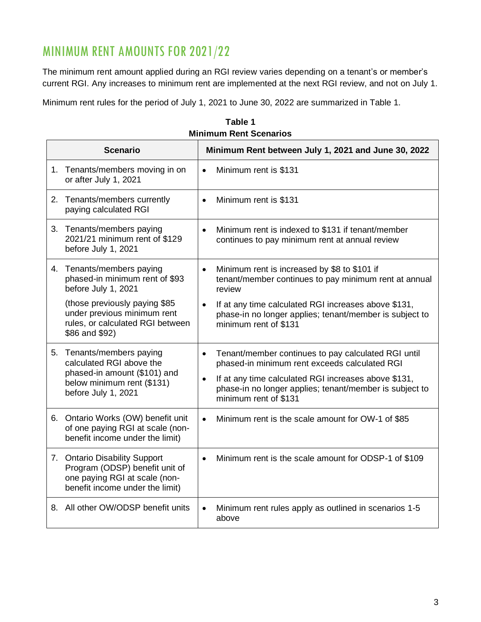#### MINIMUM RENT AMOUNTS FOR 2021/22

The minimum rent amount applied during an RGI review varies depending on a tenant's or member's current RGI. Any increases to minimum rent are implemented at the next RGI review, and not on July 1.

Minimum rent rules for the period of July 1, 2021 to June 30, 2022 are summarized in Table 1.

| <b>Scenario</b>                                                                                                                               |           | Minimum Rent between July 1, 2021 and June 30, 2022                                                                                      |
|-----------------------------------------------------------------------------------------------------------------------------------------------|-----------|------------------------------------------------------------------------------------------------------------------------------------------|
| 1. Tenants/members moving in on<br>or after July 1, 2021                                                                                      |           | Minimum rent is \$131                                                                                                                    |
| 2. Tenants/members currently<br>paying calculated RGI                                                                                         | $\bullet$ | Minimum rent is \$131                                                                                                                    |
| 3.<br>Tenants/members paying<br>2021/21 minimum rent of \$129<br>before July 1, 2021                                                          | $\bullet$ | Minimum rent is indexed to \$131 if tenant/member<br>continues to pay minimum rent at annual review                                      |
| 4. Tenants/members paying<br>phased-in minimum rent of \$93<br>before July 1, 2021                                                            | $\bullet$ | Minimum rent is increased by \$8 to \$101 if<br>tenant/member continues to pay minimum rent at annual<br>review                          |
| (those previously paying \$85<br>under previous minimum rent<br>rules, or calculated RGI between<br>\$86 and \$92)                            | $\bullet$ | If at any time calculated RGI increases above \$131,<br>phase-in no longer applies; tenant/member is subject to<br>minimum rent of \$131 |
| 5. Tenants/members paying<br>calculated RGI above the<br>phased-in amount (\$101) and<br>below minimum rent (\$131)<br>before July 1, 2021    | $\bullet$ | Tenant/member continues to pay calculated RGI until<br>phased-in minimum rent exceeds calculated RGI                                     |
|                                                                                                                                               | $\bullet$ | If at any time calculated RGI increases above \$131,<br>phase-in no longer applies; tenant/member is subject to<br>minimum rent of \$131 |
| 6. Ontario Works (OW) benefit unit<br>of one paying RGI at scale (non-<br>benefit income under the limit)                                     | $\bullet$ | Minimum rent is the scale amount for OW-1 of \$85                                                                                        |
| <b>Ontario Disability Support</b><br>7.<br>Program (ODSP) benefit unit of<br>one paying RGI at scale (non-<br>benefit income under the limit) | $\bullet$ | Minimum rent is the scale amount for ODSP-1 of \$109                                                                                     |
| 8. All other OW/ODSP benefit units                                                                                                            | $\bullet$ | Minimum rent rules apply as outlined in scenarios 1-5<br>above                                                                           |

**Table 1 Minimum Rent Scenarios**